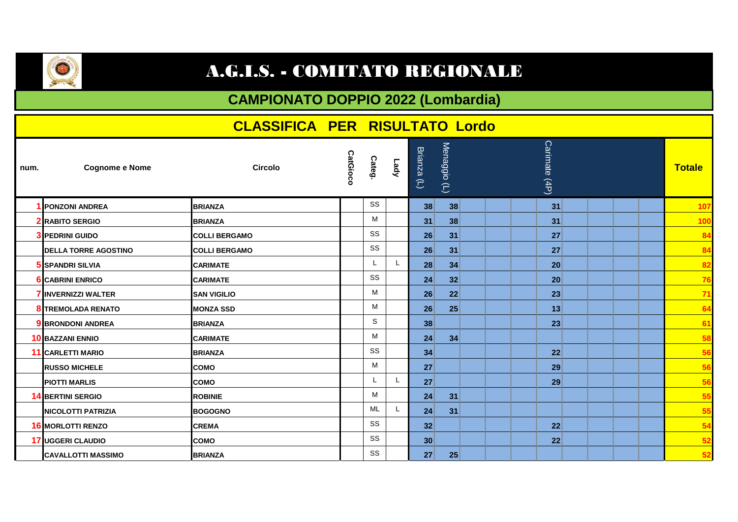

## A.G.I.S. - COMITATO REGIONALE

## **CAMPIONATO DOPPIO 2022 (Lombardia)**

|      |                             | <b>CLASSIFICA PER RISULTATO Lordo</b> |                 |           |      |                             |               |               |
|------|-----------------------------|---------------------------------------|-----------------|-----------|------|-----------------------------|---------------|---------------|
| num. | <b>Cognome e Nome</b>       | <b>Circolo</b>                        | <b>CatGioco</b> | Categ.    | Lady | Menaggio (L)<br>Brianza (L) | Carimate (4P) | <b>Totale</b> |
|      | <b>1 PONZONI ANDREA</b>     | <b>BRIANZA</b>                        |                 | SS        |      | 38<br>38                    | 31            | 107           |
|      | <b>2</b> RABITO SERGIO      | <b>BRIANZA</b>                        |                 | м         |      | 38<br>31                    | 31            | 100           |
|      | <b>3 PEDRINI GUIDO</b>      | <b>COLLI BERGAMO</b>                  |                 | SS        |      | 26<br>31                    | 27            | 84            |
|      | <b>DELLA TORRE AGOSTINO</b> | <b>COLLI BERGAMO</b>                  |                 | SS        |      | 26 <sup>2</sup><br>31       | 27            | 84            |
|      | 5 ISPANDRI SILVIA           | <b>CARIMATE</b>                       |                 | L         |      | 28<br>34                    | 20            | 82            |
|      | <b>6</b> CABRINI ENRICO     | <b>CARIMATE</b>                       |                 | SS        |      | 32 <sub>1</sub><br>24       | 20            | 76            |
|      | <b>7 INVERNIZZI WALTER</b>  | <b>SAN VIGILIO</b>                    |                 | М         |      | 22 <sup>1</sup><br>26       | 23            | 71            |
|      | <b>8 TREMOLADA RENATO</b>   | <b>MONZA SSD</b>                      |                 | М         |      | 25<br>26 <sup>5</sup>       | 13            | 64            |
|      | <b>9 BRONDONI ANDREA</b>    | <b>BRIANZA</b>                        |                 | S         |      | 38                          | 23            | 61            |
|      | <b>10 BAZZANI ENNIO</b>     | <b>CARIMATE</b>                       |                 | м         |      | 24 <sup>2</sup><br>34       |               | 58            |
|      | <b>11 CARLETTI MARIO</b>    | <b>BRIANZA</b>                        |                 | SS        |      | 34                          | 22            | 56            |
|      | <b>RUSSO MICHELE</b>        | <b>COMO</b>                           |                 | М         |      | 27                          | 29            | 56            |
|      | <b>PIOTTI MARLIS</b>        | <b>ICOMO</b>                          |                 | L         |      | 27                          | 29            | 56            |
|      | <b>14 BERTINI SERGIO</b>    | <b>ROBINIE</b>                        |                 | М         |      | 31<br>24                    |               | 55            |
|      | <b>NICOLOTTI PATRIZIA</b>   | <b>BOGOGNO</b>                        |                 | <b>ML</b> |      | 31<br>24                    |               | 55            |
|      | <b>16 MORLOTTI RENZO</b>    | <b>CREMA</b>                          |                 | SS        |      | 32 <sub>2</sub>             | 22            | 54            |
|      | 17 UGGERI CLAUDIO           | <b>COMO</b>                           |                 | SS        |      | 30 <sup>°</sup>             | 22            | 52            |
|      | <b>CAVALLOTTI MASSIMO</b>   | <b>BRIANZA</b>                        |                 | SS        |      | 27<br>25                    |               | 52            |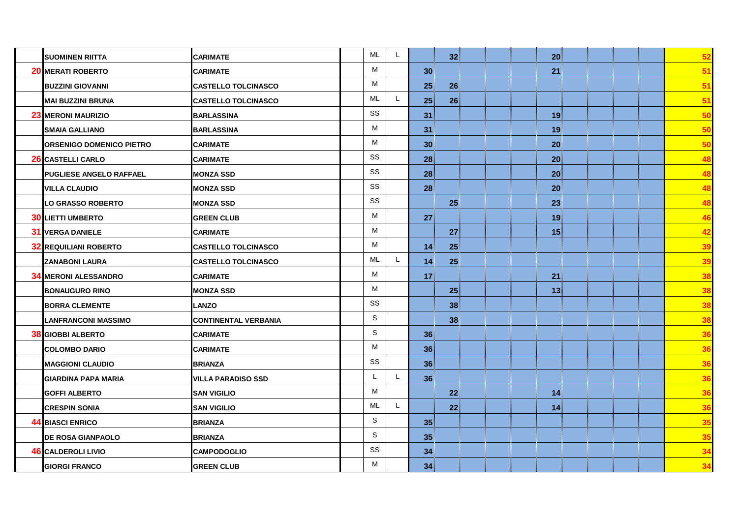| <b>SUOMINEN RIITTA</b>          | <b>CARIMATE</b>             | <b>ML</b>   | L            | 32 <sup>2</sup> | 20 | 52 |
|---------------------------------|-----------------------------|-------------|--------------|-----------------|----|----|
| <b>20 MERATI ROBERTO</b>        | <b>CARIMATE</b>             | M           |              | 30 <sup>°</sup> | 21 | 51 |
| <b>BUZZINI GIOVANNI</b>         | <b>CASTELLO TOLCINASCO</b>  | M           |              | 25<br>26        |    | 51 |
| <b>MAI BUZZINI BRUNA</b>        | <b>CASTELLO TOLCINASCO</b>  | <b>ML</b>   |              | 26<br>25        |    | 51 |
| <b>23 MERONI MAURIZIO</b>       | <b>BARLASSINA</b>           | SS          |              | 31              | 19 | 50 |
| <b>SMAIA GALLIANO</b>           | <b>BARLASSINA</b>           | М           |              | 31              | 19 | 50 |
| <b>ORSENIGO DOMENICO PIETRO</b> | <b>CARIMATE</b>             | M           |              | 30              | 20 | 50 |
| 26 CASTELLI CARLO               | <b>CARIMATE</b>             | SS          |              | 28              | 20 | 48 |
| <b>PUGLIESE ANGELO RAFFAEL</b>  | <b>MONZA SSD</b>            | SS          |              | 28              | 20 | 48 |
| <b>VILLA CLAUDIO</b>            | <b>MONZA SSD</b>            | SS          |              | 28              | 20 | 48 |
| <b>LO GRASSO ROBERTO</b>        | <b>MONZA SSD</b>            | SS          |              | 25              | 23 | 48 |
| <b>30 LIETTI UMBERTO</b>        | <b>GREEN CLUB</b>           | М           |              | 27              | 19 | 46 |
| <b>31 VERGA DANIELE</b>         | <b>CARIMATE</b>             | M           |              | 27              | 15 | 42 |
| <b>32 REQUILIANI ROBERTO</b>    | <b>CASTELLO TOLCINASCO</b>  | M           |              | $14$<br>25      |    | 39 |
| <b>ZANABONI LAURA</b>           | <b>CASTELLO TOLCINASCO</b>  | ML          |              | 25<br>14        |    | 39 |
| <b>34 MERONI ALESSANDRO</b>     | <b>CARIMATE</b>             | M           |              | 17              | 21 | 38 |
| <b>BONAUGURO RINO</b>           | <b>MONZA SSD</b>            | M           |              | 25              | 13 | 38 |
| <b>BORRA CLEMENTE</b>           | <b>LANZO</b>                | SS          |              | 38              |    | 38 |
| <b>LANFRANCONI MASSIMO</b>      | <b>CONTINENTAL VERBANIA</b> | $\mathbf S$ |              | 38              |    | 38 |
| <b>38 GIOBBI ALBERTO</b>        | <b>CARIMATE</b>             | $\mathsf S$ |              | 36              |    | 36 |
| <b>COLOMBO DARIO</b>            | <b>CARIMATE</b>             | M           |              | 36              |    | 36 |
| <b>MAGGIONI CLAUDIO</b>         | <b>BRIANZA</b>              | SS          |              | 36              |    | 36 |
| <b>GIARDINA PAPA MARIA</b>      | <b>VILLA PARADISO SSD</b>   | L           | $\mathbf{L}$ | 36              |    | 36 |
| <b>GOFFI ALBERTO</b>            | <b>SAN VIGILIO</b>          | M           |              | 22              | 14 | 36 |
| <b>CRESPIN SONIA</b>            | <b>SAN VIGILIO</b>          | <b>ML</b>   |              | 22              | 14 | 36 |
| <b>44 BIASCI ENRICO</b>         | <b>BRIANZA</b>              | $\mathsf S$ |              | 35              |    | 35 |
| <b>DE ROSA GIANPAOLO</b>        | <b>BRIANZA</b>              | $\mathsf S$ |              | 35              |    | 35 |
| <b>46 CALDEROLI LIVIO</b>       | <b>CAMPODOGLIO</b>          | SS          |              | 34              |    | 34 |
| <b>GIORGI FRANCO</b>            | <b>GREEN CLUB</b>           | M           |              | 34              |    | 34 |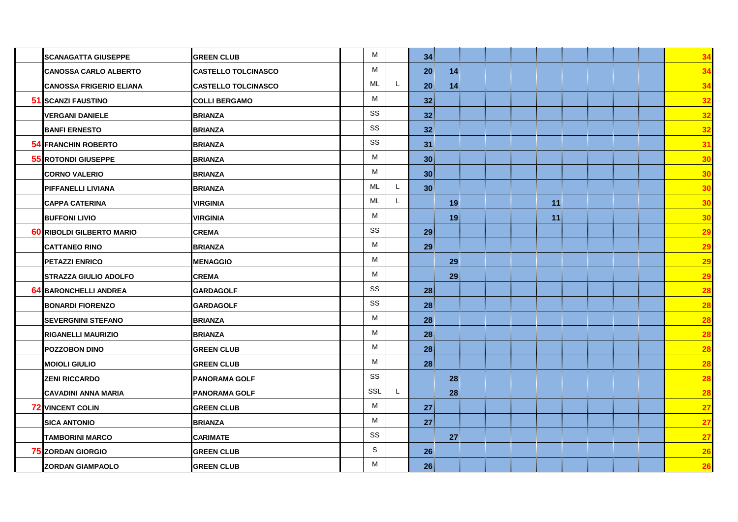| <b>SCANAGATTA GIUSEPPE</b>       | <b>GREEN CLUB</b>          | M         | 34              |    |    |  | 34        |
|----------------------------------|----------------------------|-----------|-----------------|----|----|--|-----------|
| <b>CANOSSA CARLO ALBERTO</b>     | <b>CASTELLO TOLCINASCO</b> | M         | 20 <sup>1</sup> | 14 |    |  | 34        |
| <b>CANOSSA FRIGERIO ELIANA</b>   | <b>CASTELLO TOLCINASCO</b> | ML        | L<br>20         | 14 |    |  | 34        |
| 51 SCANZI FAUSTINO               | <b>COLLI BERGAMO</b>       | M         | 32 <sup>5</sup> |    |    |  | 32        |
| <b>VERGANI DANIELE</b>           | <b>BRIANZA</b>             | SS        | 32 <sup>5</sup> |    |    |  | 32        |
| <b>BANFI ERNESTO</b>             | <b>BRIANZA</b>             | SS        | 32 <sup>2</sup> |    |    |  | 32        |
| <b>54 FRANCHIN ROBERTO</b>       | <b>BRIANZA</b>             | SS        | 31              |    |    |  | 31        |
| <b>55 ROTONDI GIUSEPPE</b>       | <b>BRIANZA</b>             | M         | 30 <sup>°</sup> |    |    |  | 30        |
| <b>CORNO VALERIO</b>             | <b>BRIANZA</b>             | M         | 30 <sup>°</sup> |    |    |  | 30        |
| PIFFANELLI LIVIANA               | <b>BRIANZA</b>             | ML        | 30 <sup>°</sup> |    |    |  | 30        |
| <b>CAPPA CATERINA</b>            | <b>VIRGINIA</b>            | <b>ML</b> |                 | 19 | 11 |  | 30        |
| <b>BUFFONI LIVIO</b>             | <b>VIRGINIA</b>            | M         |                 | 19 | 11 |  | 30        |
| <b>60 RIBOLDI GILBERTO MARIO</b> | <b>CREMA</b>               | SS        | 29 <sup>°</sup> |    |    |  | 29        |
| <b>CATTANEO RINO</b>             | <b>BRIANZA</b>             | M         | 29              |    |    |  | 29        |
| <b>PETAZZI ENRICO</b>            | <b>MENAGGIO</b>            | M         |                 | 29 |    |  | 29        |
| <b>STRAZZA GIULIO ADOLFO</b>     | <b>CREMA</b>               | M         |                 | 29 |    |  | 29        |
| <b>64 BARONCHELLI ANDREA</b>     | <b>GARDAGOLF</b>           | SS        | 28              |    |    |  | 28        |
| <b>BONARDI FIORENZO</b>          | <b>GARDAGOLF</b>           | SS        | 28 <sup>°</sup> |    |    |  | 28        |
| <b>SEVERGNINI STEFANO</b>        | <b>BRIANZA</b>             | M         | 28              |    |    |  | 28        |
| <b>RIGANELLI MAURIZIO</b>        | <b>BRIANZA</b>             | M         | 28 <sup>3</sup> |    |    |  | 28        |
| <b>POZZOBON DINO</b>             | <b>GREEN CLUB</b>          | M         | 28 <sup>5</sup> |    |    |  | 28        |
| <b>MOIOLI GIULIO</b>             | <b>GREEN CLUB</b>          | M         | 28              |    |    |  | 28        |
| <b>ZENI RICCARDO</b>             | <b>PANORAMA GOLF</b>       | SS        |                 | 28 |    |  | 28        |
| <b>CAVADINI ANNA MARIA</b>       | <b>PANORAMA GOLF</b>       | SSL       |                 | 28 |    |  | 28        |
| <b>72 VINCENT COLIN</b>          | <b>GREEN CLUB</b>          | M         | 27 <sub>l</sub> |    |    |  | <b>27</b> |
| <b>SICA ANTONIO</b>              | <b>BRIANZA</b>             | M         | 27              |    |    |  | 27        |
| <b>TAMBORINI MARCO</b>           | <b>CARIMATE</b>            | SS        |                 | 27 |    |  | 27        |
| <b>75 ZORDAN GIORGIO</b>         | <b>GREEN CLUB</b>          | S         | 26 <sup>2</sup> |    |    |  | 26        |
| <b>ZORDAN GIAMPAOLO</b>          | <b>GREEN CLUB</b>          | M         | 26              |    |    |  | 26        |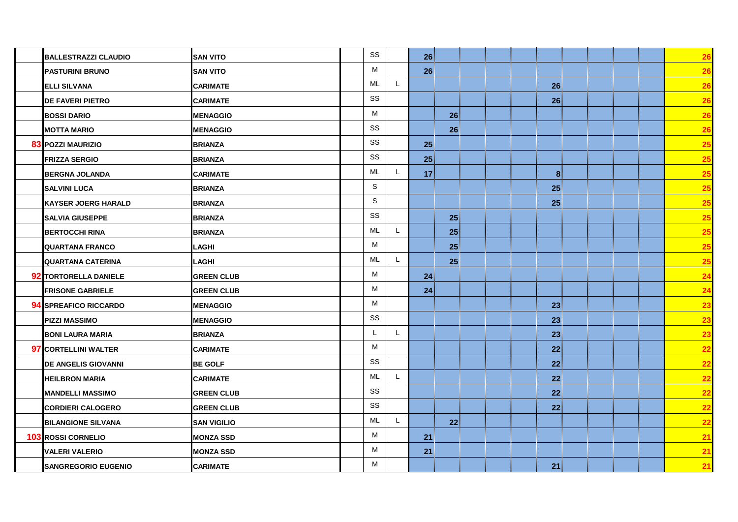| <b>BALLESTRAZZI CLAUDIO</b>  | <b>SAN VITO</b>    | SS                        | 26              |                 |  |                 |  |  | 26              |
|------------------------------|--------------------|---------------------------|-----------------|-----------------|--|-----------------|--|--|-----------------|
| <b>PASTURINI BRUNO</b>       | <b>SAN VITO</b>    | M                         | 26 <sup>2</sup> |                 |  |                 |  |  | 26              |
| <b>ELLI SILVANA</b>          | <b>CARIMATE</b>    | ML<br>L.                  |                 |                 |  | 26              |  |  | 26              |
| <b>DE FAVERI PIETRO</b>      | <b>CARIMATE</b>    | SS                        |                 |                 |  | 26              |  |  | 26              |
| <b>BOSSI DARIO</b>           | <b>MENAGGIO</b>    | M                         |                 | 26              |  |                 |  |  | 26              |
| <b>MOTTA MARIO</b>           | <b>MENAGGIO</b>    | SS                        |                 | 26              |  |                 |  |  | 26              |
| <b>83 POZZI MAURIZIO</b>     | <b>BRIANZA</b>     | SS                        | 25              |                 |  |                 |  |  | 25              |
| <b>FRIZZA SERGIO</b>         | <b>BRIANZA</b>     | SS                        | 25              |                 |  |                 |  |  | 25              |
| <b>BERGNA JOLANDA</b>        | <b>CARIMATE</b>    | ML                        | 17 <sup>3</sup> |                 |  | $\bf{8}$        |  |  | 25              |
| <b>SALVINI LUCA</b>          | <b>BRIANZA</b>     | S                         |                 |                 |  | 25              |  |  | 25              |
| <b>KAYSER JOERG HARALD</b>   | <b>BRIANZA</b>     | S                         |                 |                 |  | 25              |  |  | <u>25</u>       |
| <b>SALVIA GIUSEPPE</b>       | <b>BRIANZA</b>     | SS                        |                 | 25              |  |                 |  |  | <b>25</b>       |
| <b>BERTOCCHI RINA</b>        | <b>BRIANZA</b>     | <b>ML</b><br>$\mathbf{L}$ |                 | 25              |  |                 |  |  | 25              |
| <b>QUARTANA FRANCO</b>       | LAGHI              | M                         |                 | 25              |  |                 |  |  | 25              |
| <b>QUARTANA CATERINA</b>     | LAGHI              | $ML$<br>L.                |                 | 25              |  |                 |  |  | 25              |
| <b>92 TORTORELLA DANIELE</b> | <b>GREEN CLUB</b>  | M                         | 24              |                 |  |                 |  |  | 24              |
| <b>FRISONE GABRIELE</b>      | <b>GREEN CLUB</b>  | M                         | 24              |                 |  |                 |  |  | 24              |
| 94 SPREAFICO RICCARDO        | <b>MENAGGIO</b>    | М                         |                 |                 |  | 23              |  |  | 23              |
| <b>PIZZI MASSIMO</b>         | <b>MENAGGIO</b>    | SS                        |                 |                 |  | 23              |  |  | 23              |
| <b>BONI LAURA MARIA</b>      | <b>BRIANZA</b>     | L<br>L                    |                 |                 |  | 23              |  |  | 23              |
| <b>97 CORTELLINI WALTER</b>  | <b>CARIMATE</b>    | M                         |                 |                 |  | 22              |  |  | $\overline{22}$ |
| <b>DE ANGELIS GIOVANNI</b>   | <b>BE GOLF</b>     | SS                        |                 |                 |  | 22              |  |  | 22              |
| <b>HEILBRON MARIA</b>        | <b>CARIMATE</b>    | $ML$<br>L.                |                 |                 |  | 22 <sup>2</sup> |  |  | 22              |
| <b>MANDELLI MASSIMO</b>      | <b>GREEN CLUB</b>  | SS                        |                 |                 |  | 22              |  |  | 22              |
| <b>CORDIERI CALOGERO</b>     | <b>GREEN CLUB</b>  | SS                        |                 |                 |  | 22              |  |  | 22              |
| <b>BILANGIONE SILVANA</b>    | <b>SAN VIGILIO</b> | ML<br>L                   |                 | 22 <sup>5</sup> |  |                 |  |  | 22              |
| <b>103 ROSSI CORNELIO</b>    | <b>MONZA SSD</b>   | M                         | 21              |                 |  |                 |  |  | 21              |
| <b>VALERI VALERIO</b>        | <b>MONZA SSD</b>   | M                         | 21              |                 |  |                 |  |  | 21              |
| <b>SANGREGORIO EUGENIO</b>   | <b>CARIMATE</b>    | M                         |                 |                 |  | 21              |  |  | 21              |